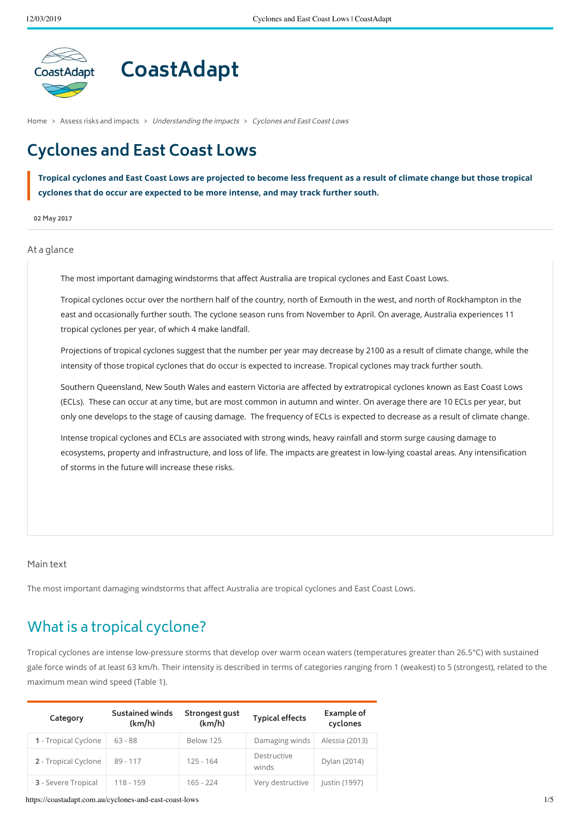

# **CoastAdapt**

[Home](https://coastadapt.com.au/) > Assess risks and [impacts](https://coastadapt.com.au/assess-risks-and-impacts) > Understanding the impacts > Cyclones and East Coast Lows

## **Cyclones and East Coast Lows**

Tropical cyclones and East Coast Lows are projected to become less frequent as a result of climate change but those tropical **cyclones that do occur are expected to be more intense, and may track further south.**

**02 May 2017**

#### At a glance

The most important damaging windstorms that affect Australia are tropical cyclones and East Coast Lows.

Tropical cyclones occur over the northern half of the country, north of Exmouth in the west, and north of Rockhampton in the east and occasionally further south. The cyclone season runs from November to April. On average, Australia experiences 11 tropical cyclones per year, of which 4 make landfall.

Projections of tropical cyclones suggest that the number per year may decrease by 2100 as a result of climate change, while the intensity of those tropical cyclones that do occur is expected to increase. Tropical cyclones may track further south.

Southern Queensland, New South Wales and eastern Victoria are affected by extratropical cyclones known as East Coast Lows (ECLs). These can occur at any time, but are most common in autumn and winter. On average there are 10 ECLs per year, but only one develops to the stage of causing damage. The frequency of ECLs is expected to decrease as a result of climate change.

Intense tropical cyclones and ECLs are associated with strong winds, heavy rainfall and storm surge causing damage to ecosystems, property and infrastructure, and loss of life. The impacts are greatest in low-lying coastal areas. Any intensification of storms in the future will increase these risks.

#### Main text

The most important damaging windstorms that affect Australia are tropical cyclones and East Coast Lows.

### What is a tropical cyclone?

Tropical cyclones are intense low-pressure storms that develop over warm ocean waters (temperatures greater than 26.5°C) with sustained gale force winds of at least 63 km/h. Their intensity is described in terms of categories ranging from 1 (weakest) to 5 (strongest), related to the maximum mean wind speed (Table 1).

| Category             | Sustained winds<br>(km/h) | Strongest gust<br>(km/h) | <b>Typical effects</b> | Example of<br>cyclones |
|----------------------|---------------------------|--------------------------|------------------------|------------------------|
| 1 - Tropical Cyclone | $63 - 88$                 | Below 125                | Damaging winds         | Alessia (2013)         |
| 2 - Tropical Cyclone | $89 - 117$                | $125 - 164$              | Destructive<br>winds   | Dylan (2014)           |
| 3 - Severe Tropical  | 118 - 159                 | $165 - 224$              | Very destructive       | Justin (1997)          |

https://coastadapt.com.au/cyclones-and-east-coast-lows 1/5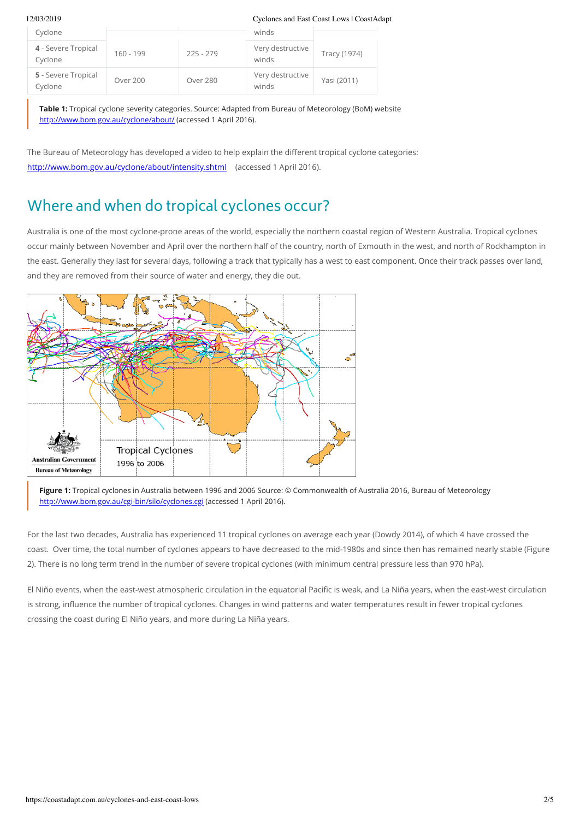#### 12/03/2019 Cyclones and East Coast Lows | CoastAdapt

| Cyclone                        |             |             | winds                     |              |
|--------------------------------|-------------|-------------|---------------------------|--------------|
| 4 - Severe Tropical<br>Cyclone | $160 - 199$ | $225 - 279$ | Very destructive<br>winds | Tracy (1974) |
| 5 - Severe Tropical<br>Cyclone | Over 200    | Over 280    | Very destructive<br>winds | Yasi (2011)  |

**Table 1:** Tropical cyclone severity categories. Source: Adapted from Bureau of Meteorology (BoM) website <http://www.bom.gov.au/cyclone/about/> (accessed 1 April 2016).

The Bureau of Meteorology has developed a video to help explain the different tropical cyclone categories: <http://www.bom.gov.au/cyclone/about/intensity.shtml> (accessed 1 April 2016).

## Where and when do tropical cyclones occur?

Australia is one of the most cyclone-prone areas of the world, especially the northern coastal region of Western Australia. Tropical cyclones occur mainly between November and April over the northern half of the country, north of Exmouth in the west, and north of Rockhampton in the east. Generally they last for several days, following a track that typically has a west to east component. Once their track passes over land, and they are removed from their source of water and energy, they die out.



**Figure 1:** Tropical cyclones in Australia between 1996 and 2006 Source: © Commonwealth of Australia 2016, Bureau of Meteorology <http://www.bom.gov.au/cgi-bin/silo/cyclones.cgi> (accessed 1 April 2016).

For the last two decades, Australia has experienced 11 tropical cyclones on average each year (Dowdy 2014), of which 4 have crossed the coast. Over time, the total number of cyclones appears to have decreased to the mid-1980s and since then has remained nearly stable (Figure 2). There is no long term trend in the number of severe tropical cyclones (with minimum central pressure less than 970 hPa).

El Niño events, when the east-west atmospheric circulation in the equatorial Pacific is weak, and La Niña years, when the east-west circulation is strong, influence the number of tropical cyclones. Changes in wind patterns and water temperatures result in fewer tropical cyclones crossing the coast during El Niño years, and more during La Niña years.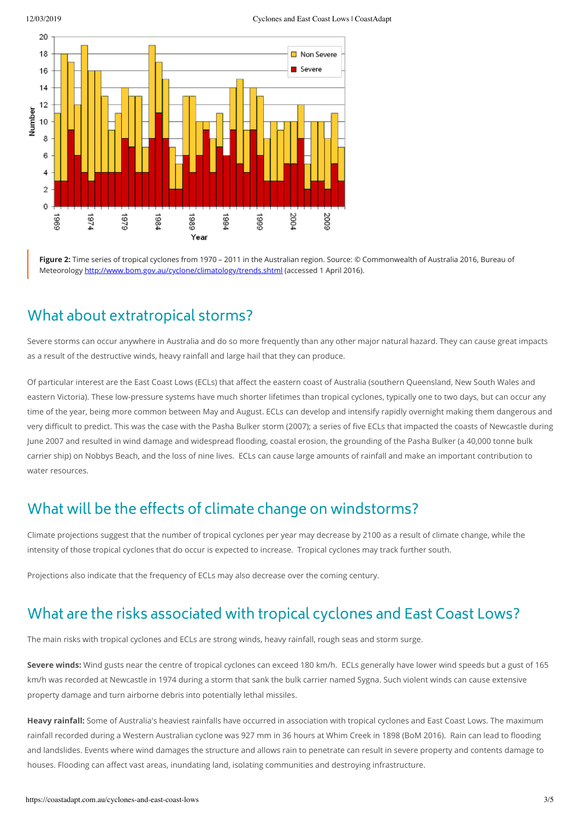

**Figure 2:** Time series of tropical cyclones from 1970 – 2011 in the Australian region. Source: © Commonwealth of Australia 2016, Bureau of Meteorology <http://www.bom.gov.au/cyclone/climatology/trends.shtml> (accessed 1 April 2016).

### What about extratropical storms?

Severe storms can occur anywhere in Australia and do so more frequently than any other major natural hazard. They can cause great impacts as a result of the destructive winds, heavy rainfall and large hail that they can produce.

Of particular interest are the East Coast Lows (ECLs) that affect the eastern coast of Australia (southern Queensland, New South Wales and eastern Victoria). These low-pressure systems have much shorter lifetimes than tropical cyclones, typically one to two days, but can occur any time of the year, being more common between May and August. ECLs can develop and intensify rapidly overnight making them dangerous and very difficult to predict. This was the case with the Pasha Bulker storm (2007); a series of five ECLs that impacted the coasts of Newcastle during June 2007 and resulted in wind damage and widespread flooding, coastal erosion, the grounding of the Pasha Bulker (a 40,000 tonne bulk carrier ship) on Nobbys Beach, and the loss of nine lives. ECLs can cause large amounts of rainfall and make an important contribution to water resources.

### What will be the effects of climate change on windstorms?

Climate projections suggest that the number of tropical cyclones per year may decrease by 2100 as a result of climate change, while the intensity of those tropical cyclones that do occur is expected to increase. Tropical cyclones may track further south.

Projections also indicate that the frequency of ECLs may also decrease over the coming century.

#### What are the risks associated with tropical cyclones and East Coast Lows?

The main risks with tropical cyclones and ECLs are strong winds, heavy rainfall, rough seas and storm surge.

**Severe winds:** Wind gusts near the centre of tropical cyclones can exceed 180 km/h. ECLs generally have lower wind speeds but a gust of 165 km/h was recorded at Newcastle in 1974 during a storm that sank the bulk carrier named Sygna. Such violent winds can cause extensive property damage and turn airborne debris into potentially lethal missiles.

**Heavy rainfall:** Some of Australia's heaviest rainfalls have occurred in association with tropical cyclones and East Coast Lows. The maximum rainfall recorded during a Western Australian cyclone was 927 mm in 36 hours at Whim Creek in 1898 (BoM 2016). Rain can lead to flooding and landslides. Events where wind damages the structure and allows rain to penetrate can result in severe property and contents damage to houses. Flooding can affect vast areas, inundating land, isolating communities and destroying infrastructure.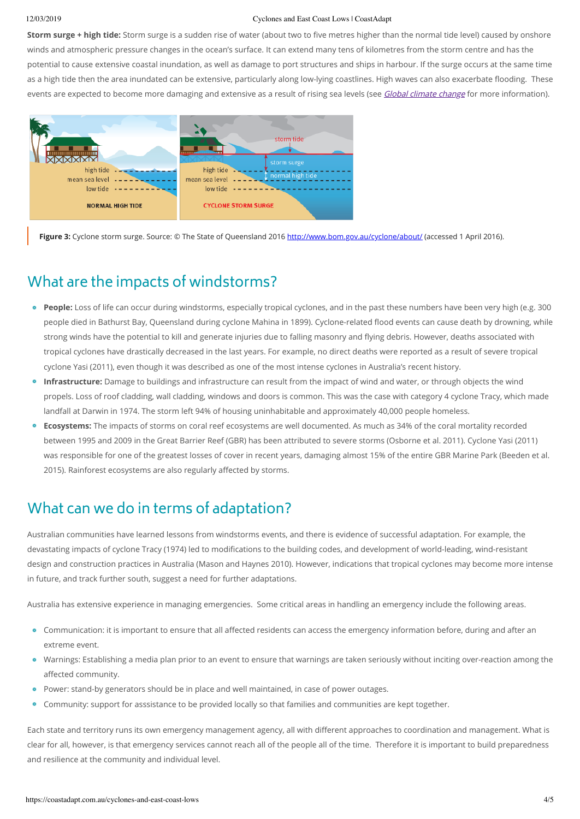#### 12/03/2019 Cyclones and East Coast Lows | CoastAdapt

**Storm surge + high tide:** Storm surge is a sudden rise of water (about two to five metres higher than the normal tide level) caused by onshore winds and atmospheric pressure changes in the ocean's surface. It can extend many tens of kilometres from the storm centre and has the potential to cause extensive coastal inundation, as well as damage to port structures and ships in harbour. If the surge occurs at the same time as a high tide then the area inundated can be extensive, particularly along low-lying coastlines. High waves can also exacerbate flooding. These events are expected to become more damaging and extensive as a result of rising sea levels (see Global climate [change](https://coastadapt.com.au/global-climate-change-and-sea-level-rise) for more information).



Figure 3: Cyclone storm surge. Source: © The State of Queensland 2016 <http://www.bom.gov.au/cyclone/about/> (accessed 1 April 2016).

### What are the impacts of windstorms?

- **People:** Loss of life can occur during windstorms, especially tropical cyclones, and in the past these numbers have been very high (e.g. 300 people died in Bathurst Bay, Queensland during cyclone Mahina in 1899). Cyclone-related flood events can cause death by drowning, while strong winds have the potential to kill and generate injuries due to falling masonry and flying debris. However, deaths associated with tropical cyclones have drastically decreased in the last years. For example, no direct deaths were reported as a result of severe tropical cyclone Yasi (2011), even though it was described as one of the most intense cyclones in Australia's recent history.
- **Infrastructure:** Damage to buildings and infrastructure can result from the impact of wind and water, or through objects the wind propels. Loss of roof cladding, wall cladding, windows and doors is common. This was the case with category 4 cyclone Tracy, which made landfall at Darwin in 1974. The storm left 94% of housing uninhabitable and approximately 40,000 people homeless.
- **Ecosystems:** The impacts of storms on coral reef ecosystems are well documented. As much as 34% of the coral mortality recorded between 1995 and 2009 in the Great Barrier Reef (GBR) has been attributed to severe storms (Osborne et al. 2011). Cyclone Yasi (2011) was responsible for one of the greatest losses of cover in recent years, damaging almost 15% of the entire GBR Marine Park (Beeden et al. 2015). Rainforest ecosystems are also regularly affected by storms.

### What can we do in terms of adaptation?

Australian communities have learned lessons from windstorms events, and there is evidence of successful adaptation. For example, the devastating impacts of cyclone Tracy (1974) led to modifications to the building codes, and development of world-leading, wind-resistant design and construction practices in Australia (Mason and Haynes 2010). However, indications that tropical cyclones may become more intense in future, and track further south, suggest a need for further adaptations.

Australia has extensive experience in managing emergencies. Some critical areas in handling an emergency include the following areas.

- Communication: it is important to ensure that all affected residents can access the emergency information before, during and after an extreme event.
- Warnings: Establishing a media plan prior to an event to ensure that warnings are taken seriously without inciting over-reaction among the affected community.
- Power: stand-by generators should be in place and well maintained, in case of power outages.  $\bullet$
- Community: support for asssistance to be provided locally so that families and communities are kept together.  $\bullet$

Each state and territory runs its own emergency management agency, all with different approaches to coordination and management. What is clear for all, however, is that emergency services cannot reach all of the people all of the time. Therefore it is important to build preparedness and resilience at the community and individual level.